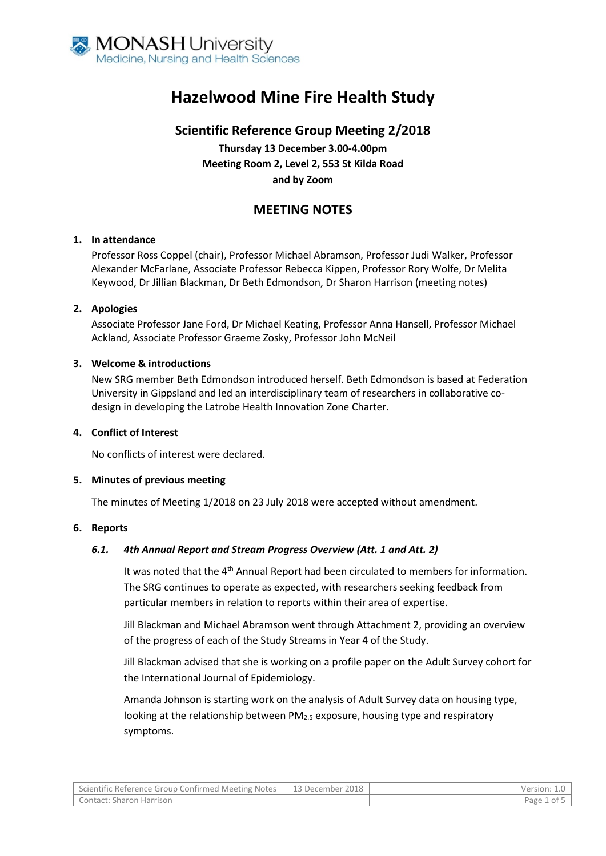

# **Hazelwood Mine Fire Health Study**

# **Scientific Reference Group Meeting 2/2018**

**Thursday 13 December 3.00-4.00pm Meeting Room 2, Level 2, 553 St Kilda Road and by Zoom**

# **MEETING NOTES**

# **1. In attendance**

Professor Ross Coppel (chair), Professor Michael Abramson, Professor Judi Walker, Professor Alexander McFarlane, Associate Professor Rebecca Kippen, Professor Rory Wolfe, Dr Melita Keywood, Dr Jillian Blackman, Dr Beth Edmondson, Dr Sharon Harrison (meeting notes)

# **2. Apologies**

Associate Professor Jane Ford, Dr Michael Keating, Professor Anna Hansell, Professor Michael Ackland, Associate Professor Graeme Zosky, Professor John McNeil

# **3. Welcome & introductions**

New SRG member Beth Edmondson introduced herself. Beth Edmondson is based at Federation University in Gippsland and led an interdisciplinary team of researchers in collaborative codesign in developing the Latrobe Health Innovation Zone Charter.

#### **4. Conflict of Interest**

No conflicts of interest were declared.

#### **5. Minutes of previous meeting**

The minutes of Meeting 1/2018 on 23 July 2018 were accepted without amendment.

#### **6. Reports**

# *6.1. 4th Annual Report and Stream Progress Overview (Att. 1 and Att. 2)*

It was noted that the 4<sup>th</sup> Annual Report had been circulated to members for information. The SRG continues to operate as expected, with researchers seeking feedback from particular members in relation to reports within their area of expertise.

Jill Blackman and Michael Abramson went through Attachment 2, providing an overview of the progress of each of the Study Streams in Year 4 of the Study.

Jill Blackman advised that she is working on a profile paper on the Adult Survey cohort for the International Journal of Epidemiology.

Amanda Johnson is starting work on the analysis of Adult Survey data on housing type, looking at the relationship between PM<sub>2.5</sub> exposure, housing type and respiratory symptoms.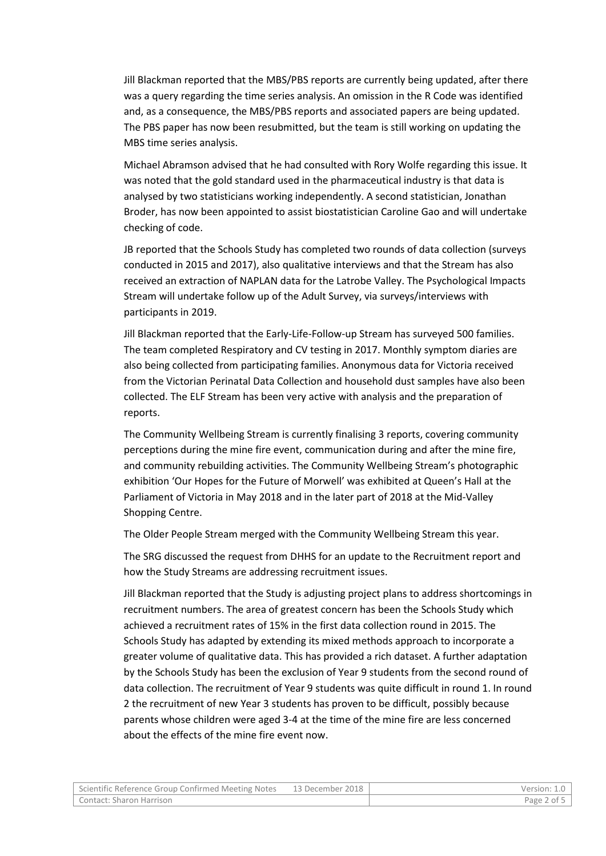Jill Blackman reported that the MBS/PBS reports are currently being updated, after there was a query regarding the time series analysis. An omission in the R Code was identified and, as a consequence, the MBS/PBS reports and associated papers are being updated. The PBS paper has now been resubmitted, but the team is still working on updating the MBS time series analysis.

Michael Abramson advised that he had consulted with Rory Wolfe regarding this issue. It was noted that the gold standard used in the pharmaceutical industry is that data is analysed by two statisticians working independently. A second statistician, Jonathan Broder, has now been appointed to assist biostatistician Caroline Gao and will undertake checking of code.

JB reported that the Schools Study has completed two rounds of data collection (surveys conducted in 2015 and 2017), also qualitative interviews and that the Stream has also received an extraction of NAPLAN data for the Latrobe Valley. The Psychological Impacts Stream will undertake follow up of the Adult Survey, via surveys/interviews with participants in 2019.

Jill Blackman reported that the Early-Life-Follow-up Stream has surveyed 500 families. The team completed Respiratory and CV testing in 2017. Monthly symptom diaries are also being collected from participating families. Anonymous data for Victoria received from the Victorian Perinatal Data Collection and household dust samples have also been collected. The ELF Stream has been very active with analysis and the preparation of reports.

The Community Wellbeing Stream is currently finalising 3 reports, covering community perceptions during the mine fire event, communication during and after the mine fire, and community rebuilding activities. The Community Wellbeing Stream's photographic exhibition 'Our Hopes for the Future of Morwell' was exhibited at Queen's Hall at the Parliament of Victoria in May 2018 and in the later part of 2018 at the Mid-Valley Shopping Centre.

The Older People Stream merged with the Community Wellbeing Stream this year.

The SRG discussed the request from DHHS for an update to the Recruitment report and how the Study Streams are addressing recruitment issues.

Jill Blackman reported that the Study is adjusting project plans to address shortcomings in recruitment numbers. The area of greatest concern has been the Schools Study which achieved a recruitment rates of 15% in the first data collection round in 2015. The Schools Study has adapted by extending its mixed methods approach to incorporate a greater volume of qualitative data. This has provided a rich dataset. A further adaptation by the Schools Study has been the exclusion of Year 9 students from the second round of data collection. The recruitment of Year 9 students was quite difficult in round 1. In round 2 the recruitment of new Year 3 students has proven to be difficult, possibly because parents whose children were aged 3-4 at the time of the mine fire are less concerned about the effects of the mine fire event now.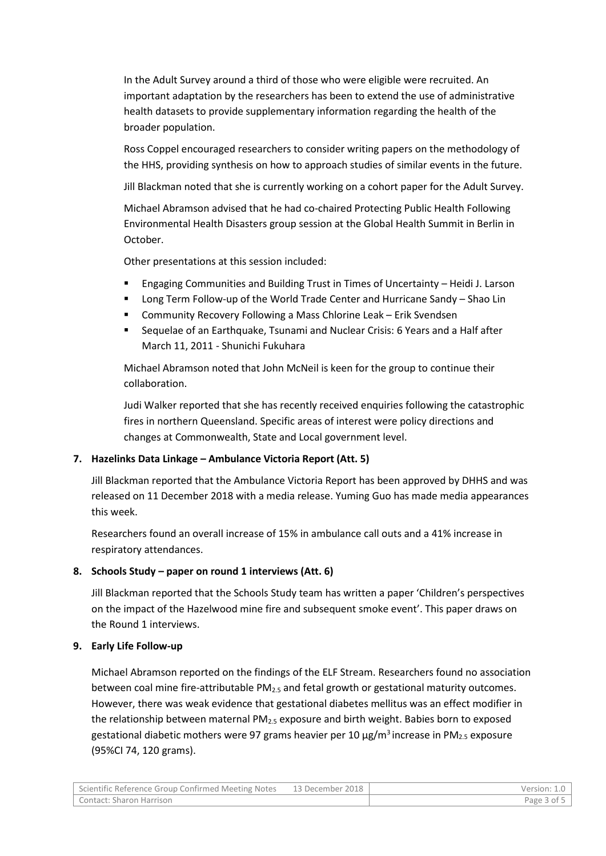In the Adult Survey around a third of those who were eligible were recruited. An important adaptation by the researchers has been to extend the use of administrative health datasets to provide supplementary information regarding the health of the broader population.

Ross Coppel encouraged researchers to consider writing papers on the methodology of the HHS, providing synthesis on how to approach studies of similar events in the future.

Jill Blackman noted that she is currently working on a cohort paper for the Adult Survey.

Michael Abramson advised that he had co-chaired Protecting Public Health Following Environmental Health Disasters group session at the Global Health Summit in Berlin in October.

Other presentations at this session included:

- Engaging Communities and Building Trust in Times of Uncertainty Heidi J. Larson
- Long Term Follow-up of the World Trade Center and Hurricane Sandy Shao Lin
- Community Recovery Following a Mass Chlorine Leak Erik Svendsen
- Sequelae of an Earthquake, Tsunami and Nuclear Crisis: 6 Years and a Half after March 11, 2011 - Shunichi Fukuhara

Michael Abramson noted that John McNeil is keen for the group to continue their collaboration.

Judi Walker reported that she has recently received enquiries following the catastrophic fires in northern Queensland. Specific areas of interest were policy directions and changes at Commonwealth, State and Local government level.

# **7. Hazelinks Data Linkage – Ambulance Victoria Report (Att. 5)**

Jill Blackman reported that the Ambulance Victoria Report has been approved by DHHS and was released on 11 December 2018 with a media release. Yuming Guo has made media appearances this week.

Researchers found an overall increase of 15% in ambulance call outs and a 41% increase in respiratory attendances.

# **8. Schools Study – paper on round 1 interviews (Att. 6)**

Jill Blackman reported that the Schools Study team has written a paper 'Children's perspectives on the impact of the Hazelwood mine fire and subsequent smoke event'. This paper draws on the Round 1 interviews.

# **9. Early Life Follow-up**

Michael Abramson reported on the findings of the ELF Stream. Researchers found no association between coal mine fire-attributable  $PM_{2.5}$  and fetal growth or gestational maturity outcomes. However, there was weak evidence that gestational diabetes mellitus was an effect modifier in the relationship between maternal  $PM<sub>2.5</sub>$  exposure and birth weight. Babies born to exposed gestational diabetic mothers were 97 grams heavier per 10  $\mu$ g/m<sup>3</sup> increase in PM<sub>2.5</sub> exposure (95%CI 74, 120 grams).

| Scientific Reference Group Confirmed Meeting Notes | 13 December 2018 | Version: 1.0 |
|----------------------------------------------------|------------------|--------------|
| Contact: Sharon Harrison                           |                  | Page 3 of 5  |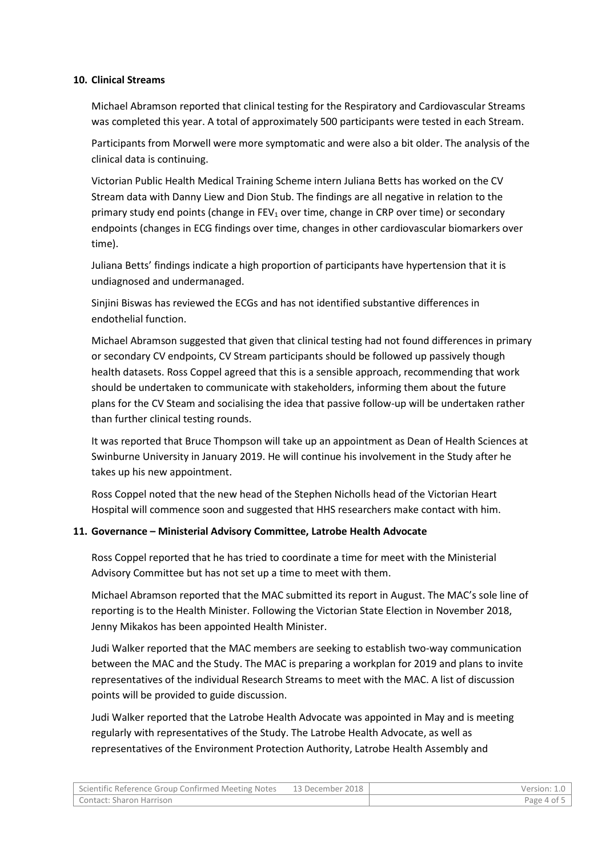#### **10. Clinical Streams**

Michael Abramson reported that clinical testing for the Respiratory and Cardiovascular Streams was completed this year. A total of approximately 500 participants were tested in each Stream.

Participants from Morwell were more symptomatic and were also a bit older. The analysis of the clinical data is continuing.

Victorian Public Health Medical Training Scheme intern Juliana Betts has worked on the CV Stream data with Danny Liew and Dion Stub. The findings are all negative in relation to the primary study end points (change in  $FEV_1$  over time, change in CRP over time) or secondary endpoints (changes in ECG findings over time, changes in other cardiovascular biomarkers over time).

Juliana Betts' findings indicate a high proportion of participants have hypertension that it is undiagnosed and undermanaged.

Sinjini Biswas has reviewed the ECGs and has not identified substantive differences in endothelial function.

Michael Abramson suggested that given that clinical testing had not found differences in primary or secondary CV endpoints, CV Stream participants should be followed up passively though health datasets. Ross Coppel agreed that this is a sensible approach, recommending that work should be undertaken to communicate with stakeholders, informing them about the future plans for the CV Steam and socialising the idea that passive follow-up will be undertaken rather than further clinical testing rounds.

It was reported that Bruce Thompson will take up an appointment as Dean of Health Sciences at Swinburne University in January 2019. He will continue his involvement in the Study after he takes up his new appointment.

Ross Coppel noted that the new head of the Stephen Nicholls head of the Victorian Heart Hospital will commence soon and suggested that HHS researchers make contact with him.

#### **11. Governance – Ministerial Advisory Committee, Latrobe Health Advocate**

Ross Coppel reported that he has tried to coordinate a time for meet with the Ministerial Advisory Committee but has not set up a time to meet with them.

Michael Abramson reported that the MAC submitted its report in August. The MAC's sole line of reporting is to the Health Minister. Following the Victorian State Election in November 2018, Jenny Mikakos has been appointed Health Minister.

Judi Walker reported that the MAC members are seeking to establish two-way communication between the MAC and the Study. The MAC is preparing a workplan for 2019 and plans to invite representatives of the individual Research Streams to meet with the MAC. A list of discussion points will be provided to guide discussion.

Judi Walker reported that the Latrobe Health Advocate was appointed in May and is meeting regularly with representatives of the Study. The Latrobe Health Advocate, as well as representatives of the Environment Protection Authority, Latrobe Health Assembly and

| Scientific Reference Group Confirmed Meeting Notes | 13 December 2018 | Version: 1.0 |
|----------------------------------------------------|------------------|--------------|
| Contact: Sharon Harrison                           |                  | Page 4 of 5  |